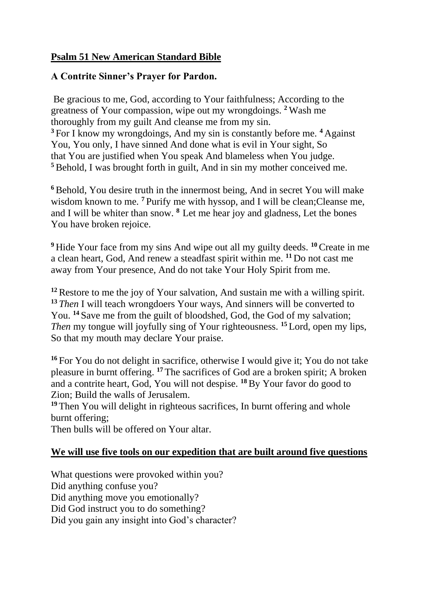## **Psalm 51 New American Standard Bible**

## **A Contrite Sinner's Prayer for Pardon.**

Be gracious to me, God, according to Your faithfulness; According to the greatness of Your compassion, wipe out my wrongdoings. **<sup>2</sup>** Wash me thoroughly from my guilt And cleanse me from my sin. **<sup>3</sup>** For I know my wrongdoings, And my sin is constantly before me. **<sup>4</sup>** Against You, You only, I have sinned And done what is evil in Your sight, So that You are justified when You speak And blameless when You judge. **<sup>5</sup>**Behold, I was brought forth in guilt, And in sin my mother conceived me.

<sup>6</sup> Behold, You desire truth in the innermost being, And in secret You will make wisdom known to me. <sup>7</sup> Purify me with hyssop, and I will be clean; Cleanse me, and I will be whiter than snow. **<sup>8</sup>** Let me hear joy and gladness, Let the bones You have broken rejoice.

**<sup>9</sup>** Hide Your face from my sins And wipe out all my guilty deeds. **<sup>10</sup>**Create in me a clean heart, God, And renew a steadfast spirit within me. **<sup>11</sup>** Do not cast me away from Your presence, And do not take Your Holy Spirit from me.

**<sup>12</sup>**Restore to me the joy of Your salvation, And sustain me with a willing spirit. **<sup>13</sup>** *Then* I will teach wrongdoers Your ways, And sinners will be converted to You. <sup>14</sup> Save me from the guilt of bloodshed, God, the God of my salvation; *Then* my tongue will joyfully sing of Your righteousness. **<sup>15</sup>** Lord, open my lips, So that my mouth may declare Your praise.

**<sup>16</sup>** For You do not delight in sacrifice, otherwise I would give it; You do not take pleasure in burnt offering. **<sup>17</sup>** The sacrifices of God are a broken spirit; A broken and a contrite heart, God, You will not despise. **<sup>18</sup>**By Your favor do good to Zion; Build the walls of Jerusalem.

**<sup>19</sup>** Then You will delight in righteous sacrifices, In burnt offering and whole burnt offering;

Then bulls will be offered on Your altar.

## **We will use five tools on our expedition that are built around five questions**

What questions were provoked within you? Did anything confuse you? Did anything move you emotionally? Did God instruct you to do something? Did you gain any insight into God's character?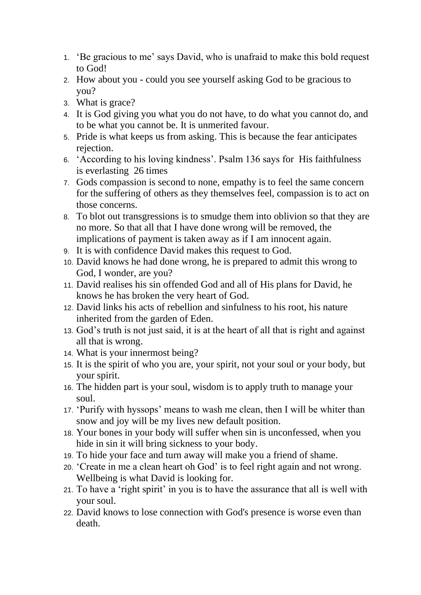- 1. 'Be gracious to me' says David, who is unafraid to make this bold request to God!
- 2. How about you could you see yourself asking God to be gracious to you?
- 3. What is grace?
- 4. It is God giving you what you do not have, to do what you cannot do, and to be what you cannot be. It is unmerited favour.
- 5. Pride is what keeps us from asking. This is because the fear anticipates rejection.
- 6. 'According to his loving kindness'. Psalm 136 says for His faithfulness is everlasting 26 times
- 7. Gods compassion is second to none, empathy is to feel the same concern for the suffering of others as they themselves feel, compassion is to act on those concerns.
- 8. To blot out transgressions is to smudge them into oblivion so that they are no more. So that all that I have done wrong will be removed, the implications of payment is taken away as if I am innocent again.
- 9. It is with confidence David makes this request to God.
- 10. David knows he had done wrong, he is prepared to admit this wrong to God, I wonder, are you?
- 11. David realises his sin offended God and all of His plans for David, he knows he has broken the very heart of God.
- 12. David links his acts of rebellion and sinfulness to his root, his nature inherited from the garden of Eden.
- 13. God's truth is not just said, it is at the heart of all that is right and against all that is wrong.
- 14. What is your innermost being?
- 15. It is the spirit of who you are, your spirit, not your soul or your body, but your spirit.
- 16. The hidden part is your soul, wisdom is to apply truth to manage your soul.
- 17. 'Purify with hyssops' means to wash me clean, then I will be whiter than snow and joy will be my lives new default position.
- 18. Your bones in your body will suffer when sin is unconfessed, when you hide in sin it will bring sickness to your body.
- 19. To hide your face and turn away will make you a friend of shame.
- 20. 'Create in me a clean heart oh God' is to feel right again and not wrong. Wellbeing is what David is looking for.
- 21. To have a 'right spirit' in you is to have the assurance that all is well with your soul.
- 22. David knows to lose connection with God's presence is worse even than death.